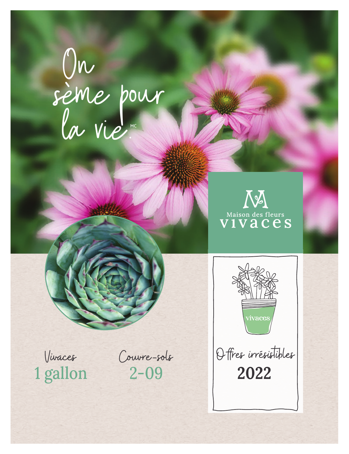## On<br>sème pour<br>la vie "





Offres irrésistibles 2022

Vivaces 1 gallon

Couvre-sols  $2 - 09$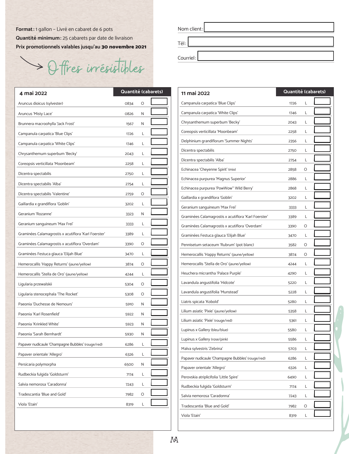**Format:** 1 gallon – Livré en cabaret de 6 pots **Quantité minimum:** 25 cabarets par date de livraison **Prix promotionnels valables jusqu'au** 30 novembre 2021

Offres irrésistibles

| 4 mai 2022                                           | Quantité (cabarets) |   |  |
|------------------------------------------------------|---------------------|---|--|
| Aruncus dioicus (sylvester)                          | 0834                | O |  |
| Aruncus 'Misty Lace'                                 | 0826                | N |  |
| Brunnera macroohylla 'Jack Frost'                    | 1567                | N |  |
| Campanula carpatica 'Blue Clips'                     | 1726                | L |  |
| Campanula carpatica 'White Clips'                    | 1746                | L |  |
| Chrysanthemum superbum 'Becky'                       | 2043                | L |  |
| Coreopsis verticillata 'Moonbeam'                    | 2258                | L |  |
| Dicentra spectabilis                                 | 2750                | L |  |
| Dicentra spectabilis 'Alba'                          | 2754                | L |  |
| Dicentra spectabilis 'Valentine'                     | 2759                | O |  |
| Gaillardia x grandiflora 'Goblin'                    | 3202                | L |  |
| Geranium 'Rozanne'                                   | 3323                | N |  |
| Geranium sanguineum 'Max Frei'                       | 3333                | L |  |
| Graminées Calamagrostis x acutiflora 'Karl Foerster' | 3389                | L |  |
| Graminées Calamagrostis x acutiflora 'Overdam'       | 3390                | O |  |
| Graminées Festuca glauca 'Elijah Blue'               | 3470                | L |  |
| Hemerocallis 'Happy Returns' (jaune/yellow)          | 3874                | O |  |
| Hemerocallis 'Stella de Oro' (jaune/yellow)          | 4244                | L |  |
| Ligularia przewalskii                                | 5304                | O |  |
| Ligularia stenocephala 'The Rocket'                  | 5308                | O |  |
| Paeonia 'Duchesse de Nemours'                        | 5910                | N |  |
| Paeonia 'Karl Rosenfield'                            | 5922                | N |  |
| Paeonia 'Krinkled White'                             | 5923                | N |  |
| Paeonia 'Sarah Bernhardt'                            | 5930                | N |  |
| Papaver nudicaule 'Champagne Bubbles' (rouge/red)    | 6286                | L |  |
| Papaver orientale 'Allegro'                          | 6326                | L |  |
| Persicaria polymorpha                                | 6500                | Ν |  |
| Rudbeckia fulgida 'Goldsturm'                        | 7174                | Г |  |
| Salvia nemorosa 'Caradonna'                          | 7243                | Г |  |
| Tradescantia 'Blue and Gold'                         | 7982                | O |  |
| Viola 'Etain'                                        | 8319                | Г |  |
|                                                      |                     |   |  |

| Nom client: |
|-------------|
| Tél:        |
| Courriel:   |

| Quantité (cabarets) |   | 11 mai 2022                                          | Quantité (cabarets) |   |  |  |
|---------------------|---|------------------------------------------------------|---------------------|---|--|--|
| 0834                | O | Campanula carpatica 'Blue Clips'                     | 1726                | L |  |  |
| 0826                | N | Campanula carpatica 'White Clips'                    | 1746                | L |  |  |
| 1567                | N | Chrysanthemum superbum 'Becky'                       | 2043                | L |  |  |
| 1726                | L | Coreopsis verticillata 'Moonbeam'                    | 2258                | L |  |  |
| 1746                | Г | Delphinium grandiflorum 'Summer Nights'              | 2356                | L |  |  |
| 2043                | Г | Dicentra spectabilis                                 | 2750                | L |  |  |
| 2258                | L | Dicentra spectabilis 'Alba'                          | 2754                | L |  |  |
| 2750                | L | Echinacea 'Cheyenne Spirit' (mix)                    | 2858                | O |  |  |
| 2754                | L | Echinacea purpurea 'Magnus Superior'                 | 2886                | L |  |  |
| 2759                | O | Echinacea purpurea 'PowWow™ Wild Berry'              | 2868                | L |  |  |
|                     |   | Gaillardia x grandiflora 'Goblin'                    | 3202                | L |  |  |
| 3202                | L | Geranium sanguineum 'Max Frei'                       | 3333                | L |  |  |
| 3323                | N | Graminées Calamagrostis x acutiflora 'Karl Foerster' | 3389                | L |  |  |
| 3333                | L | Graminées Calamagrostis x acutiflora 'Overdam'       | 3390                | O |  |  |
| 3389                | L | Graminées Festuca glauca 'Elijah Blue'               | 3470                | L |  |  |
| 3390                | O | Pennisetum setaceum 'Rubrum' (pot blanc)             | 3582                | O |  |  |
| 3470                | L | Hemerocallis 'Happy Returns' (jaune/yellow)          | 3874                | O |  |  |
| 3874                | O | Hemerocallis 'Stella de Oro' (jaune/yellow)          | 4244                | L |  |  |
| 4244                | L | Heuchera micrantha 'Palace Purple'                   | 4290                | L |  |  |
| 5304                | O | Lavandula angustifolia 'Hidcote'                     | 5220                | L |  |  |
| 5308                | O | Lavandula angustifolia 'Munstead'                    | 5228                | L |  |  |
| 5910                | N | Liatris spicata 'Kobold'                             | 5280                | L |  |  |
| 5922                | N | Lilium asiatic 'Pixie' (jaune/yellow)                | 5358                | L |  |  |
| 5923                | N | Lilium asiatic 'Pixie' (rouge/red)                   | 5361                | L |  |  |
| 5930                | N | Lupinus x Gallery (bleu/blue)                        | 5580                | L |  |  |
| 6286                | L | Lupinus x Gallery (rose/pink)                        | 5586                | L |  |  |
| 6326                | L | Malva sylvestris 'Zebrina'                           | 5703                | L |  |  |
| 6500                | N | Papaver nudicaule 'Champagne Bubbles' (rouge/red)    | 6286                | L |  |  |
|                     | Г | Papaver orientale 'Allegro'                          | 6326                | L |  |  |
| 7174                |   | Perovskia atriplicifolia 'Little Spire'              | 6490                | L |  |  |
| 7243                | L | Rudbeckia fulgida 'Goldsturm'                        | 7174                | L |  |  |
| 7982                | O | Salvia nemorosa 'Caradonna'                          | 7243                | L |  |  |
| 8319                | L | Tradescantia 'Blue and Gold'                         | 7982                | O |  |  |
|                     |   | Viola 'Etain'                                        | 8319                | L |  |  |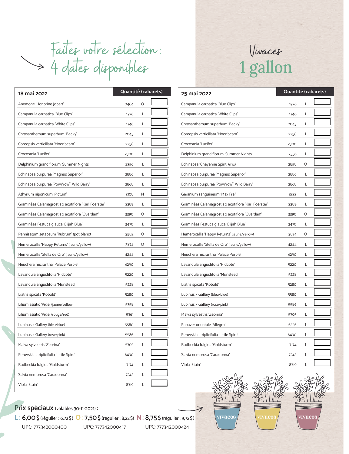Faites votre sélection: 4 dates disponibles

| 18 mai 2022                                          | Quantité (cabarets) |   |  |
|------------------------------------------------------|---------------------|---|--|
| Anemone 'Honorine Jobert'                            | 0464                | O |  |
| Campanula carpatica 'Blue Clips'                     | 1726                | L |  |
| Campanula carpatica 'White Clips'                    | 1746                | L |  |
| Chrysanthemum superbum 'Becky'                       | 2043                | L |  |
| Coreopsis verticillata 'Moonbeam'                    | 2258                | L |  |
| Crocosmia 'Lucifer'                                  | 2300                | L |  |
| Delphinium grandiflorum 'Summer Nights'              | 2356                | L |  |
| Echinacea purpurea 'Magnus Superior'                 | 2886                | L |  |
| Echinacea purpurea 'PowWow" Wild Berry'              | 2868                | L |  |
| Athyrium niponicum 'Pictum'                          | 3108                | N |  |
| Graminées Calamagrostis x acutiflora 'Karl Foerster' | 3389                | L |  |
| Graminées Calamagrostis x acutiflora 'Overdam'       | 3390                | O |  |
| Graminées Festuca glauca 'Elijah Blue'               | 3470                | L |  |
| Pennisetum setaceum 'Rubrum' (pot blanc)             | 3582                | O |  |
| Hemerocallis 'Happy Returns' (jaune/yellow)          | 3874                | O |  |
| Hemerocallis 'Stella de Oro' (jaune/yellow)          | 4244                | L |  |
| Heuchera micrantha 'Palace Purple'                   | 4290                | L |  |
| Lavandula angustifolia 'Hidcote'                     | 5220                | L |  |
| Lavandula angustifolia 'Munstead'                    | 5228                | L |  |
| Liatris spicata 'Kobold'                             | 5280                | L |  |
| Lilium asiatic 'Pixie' (jaune/yellow)                | 5358                | L |  |
| Lilium asiatic 'Pixie' (rouge/red)                   | 5361                | L |  |
| Lupinus x Gallery (bleu/blue)                        | 5580                | L |  |
| Lupinus x Gallery (rose/pink)                        | 5586                | L |  |
| Malva sylvestris 'Zebrina'                           | 5703                | L |  |
| Perovskia atriplicifolia 'Little Spire'              | 6490                | L |  |
| Rudbeckia fulgida 'Goldsturm'                        | 7174                | L |  |
| Salvia nemorosa 'Caradonna'                          | 7243                | L |  |
| Viola 'Etain'                                        | 8319                | L |  |



| Quantité (cabarets)<br>25 mai 2022 |         |  | Quantité (cabarets)                                  |      |   |  |
|------------------------------------|---------|--|------------------------------------------------------|------|---|--|
| 0464                               | $\circ$ |  | Campanula carpatica 'Blue Clips'                     | 1726 | L |  |
| 1726                               | L       |  | Campanula carpatica 'White Clips'                    | 1746 | L |  |
| 1746                               | Г       |  | Chrysanthemum superbum 'Becky'                       | 2043 | L |  |
| 2043                               | Г       |  | Coreopsis verticillata 'Moonbeam'                    | 2258 | L |  |
| 2258                               | Г       |  | Crocosmia 'Lucifer'                                  | 2300 | L |  |
| 2300                               | L       |  | Delphinium grandiflorum 'Summer Nights'              | 2356 | L |  |
| 2356                               | Г       |  | Echinacea 'Cheyenne Spirit' (mix)                    | 2858 | O |  |
| 2886                               | L       |  | Echinacea purpurea 'Magnus Superior'                 | 2886 | L |  |
| 2868                               | L       |  | Echinacea purpurea 'PowWow™ Wild Berry'              | 2868 | L |  |
| 3108                               | N       |  | Geranium sanguineum 'Max Frei'                       | 3333 | L |  |
| 3389                               | Г       |  | Graminées Calamagrostis x acutiflora 'Karl Foerster' | 3389 | L |  |
| 3390                               | O       |  | Graminées Calamagrostis x acutiflora 'Overdam'       | 3390 | O |  |
| 3470                               | L       |  | Graminées Festuca glauca 'Elijah Blue'               | 3470 | L |  |
| 3582                               | O       |  | Hemerocallis 'Happy Returns' (jaune/yellow)          | 3874 | O |  |
| 3874                               | O       |  | Hemerocallis 'Stella de Oro' (jaune/yellow)          | 4244 | L |  |
| 4244                               | Г       |  | Heuchera micrantha 'Palace Purple'                   | 4290 | L |  |
| 4290                               | Г       |  | Lavandula angustifolia 'Hidcote'                     | 5220 | L |  |
| 5220                               | Г       |  | Lavandula angustifolia 'Munstead'                    | 5228 | L |  |
| 5228                               | Г       |  | Liatris spicata 'Kobold'                             | 5280 | L |  |
| 5280                               | L       |  | Lupinus x Gallery (bleu/blue)                        | 5580 | L |  |
| 5358                               | Г       |  | Lupinus x Gallery (rose/pink)                        | 5586 | L |  |
| 5361                               | Г       |  | Malva sylvestris 'Zebrina'                           | 5703 | L |  |
| 5580                               | Г       |  | Papaver orientale 'Allegro'                          | 6326 | L |  |
| 5586                               | Г       |  | Perovskia atriplicifolia 'Little Spire'              | 6490 | L |  |
| 5703                               | L       |  | Rudbeckia fulgida 'Goldsturm'                        | 7174 | L |  |
| 6490                               | Г       |  | Salvia nemorosa 'Caradonna'                          | 7243 | L |  |
| 7174                               | L       |  | Viola 'Etain'                                        | 8319 | L |  |



## **Prix spéciaux** (valables 30-11-2021) **:**

UPC: 777342000400 UPC: 777342000417 UPC: 777342000424 **L: 6,00\$** (régulier : 6,72\$) **O: 7,50\$** (régulier : 8,22\$) **N: 8,75 \$** (régulier : 9,72\$)